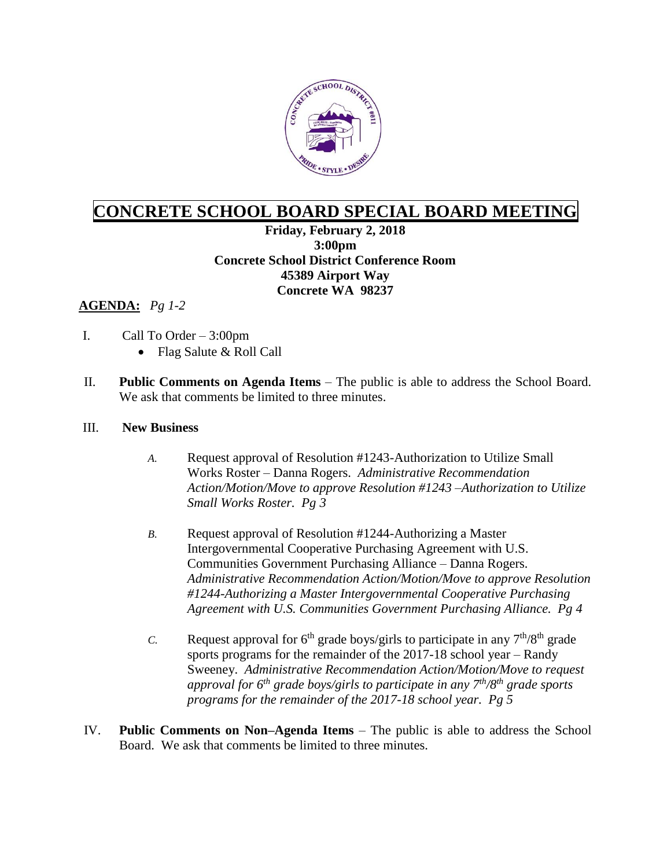

## **CONCRETE SCHOOL BOARD SPECIAL BOARD MEETING**

**Friday, February 2, 2018 3:00pm Concrete School District Conference Room 45389 Airport Way Concrete WA 98237**

## **AGENDA:** *Pg 1-2*

- I. Call To Order 3:00pm
	- Flag Salute & Roll Call
- II. **Public Comments on Agenda Items** The public is able to address the School Board. We ask that comments be limited to three minutes.

## III. **New Business**

- *A.* Request approval of Resolution #1243-Authorization to Utilize Small Works Roster – Danna Rogers. *Administrative Recommendation Action/Motion/Move to approve Resolution #1243 –Authorization to Utilize Small Works Roster. Pg 3*
- *B.* Request approval of Resolution #1244-Authorizing a Master Intergovernmental Cooperative Purchasing Agreement with U.S. Communities Government Purchasing Alliance – Danna Rogers. *Administrative Recommendation Action/Motion/Move to approve Resolution #1244-Authorizing a Master Intergovernmental Cooperative Purchasing Agreement with U.S. Communities Government Purchasing Alliance. Pg 4*
- *C.* Request approval for 6<sup>th</sup> grade boys/girls to participate in any  $7<sup>th</sup>/8<sup>th</sup>$  grade sports programs for the remainder of the 2017-18 school year – Randy Sweeney. *Administrative Recommendation Action/Motion/Move to request approval for 6th grade boys/girls to participate in any 7th/8th grade sports programs for the remainder of the 2017-18 school year. Pg 5*
- IV. **Public Comments on Non–Agenda Items** The public is able to address the School Board. We ask that comments be limited to three minutes.